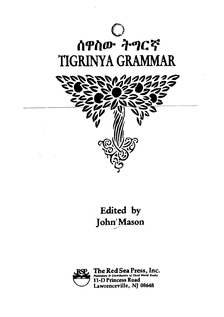

## ሰዋስው ትግርኛ TIGRINYA GRAMMAR



## Edited by John Mason



The Red Sea Press, Inc.<br>Publishers & Distributors of Third World Books<br>11-D Princess Road Lawrenceville, NJ 08648